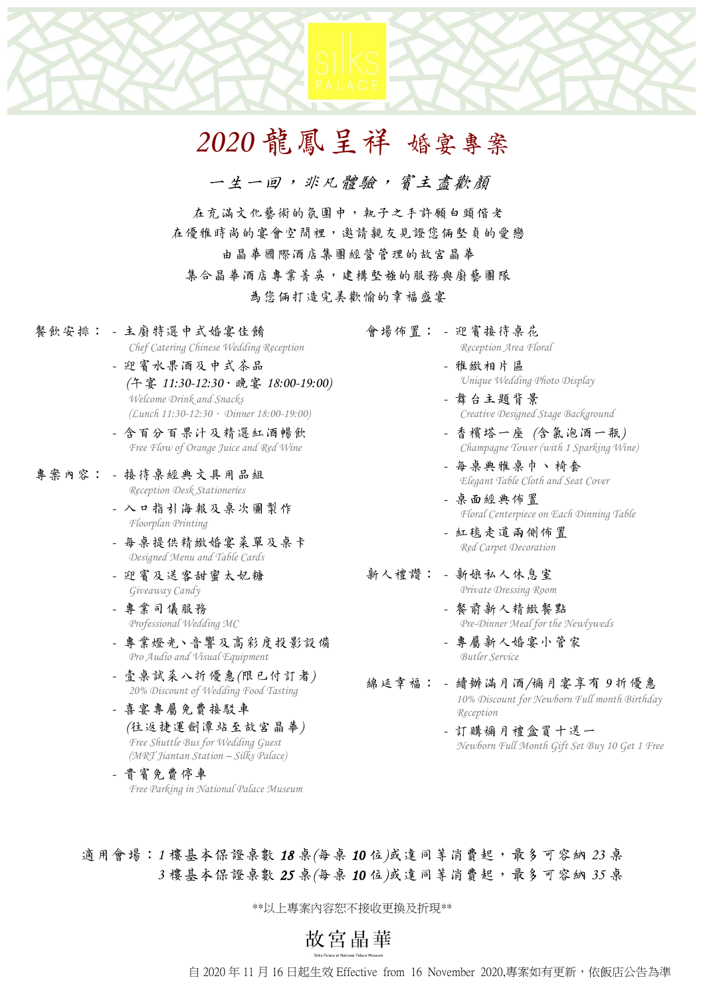# *2020* 龍鳳呈祥 婚宴專案

一生一回, 求凡體驗, 賓主盡歡顏

在充滿文化藝術的氛圍中,執子之手許願白頭偕老 在優雅時尚的宴會空間裡,邀請親友見證您倆堅貞的愛戀

由晶華國際酒店集團經營管理的故宮晶華

集合晶華酒店專業菁英,建構堅強的服務與廚藝團隊

為您倆打造完美歡愉的幸福盛宴

- 餐飲安排: *-* 主廚特選中式婚宴佳餚 *Chef Catering Chinese Wedding Reception*
	- *-* 迎賓水果酒及中式茶品 *(*午宴 *11:30-12:30*.晚宴 *18:00-19:00) Welcome Drink and Snacks (Lunch 11:30-12:30*.*Dinner 18:00-19:00)*
	- *-* 含百分百果汁及精選紅酒暢飲 *Free Flow of Orange Juice and Red Wine*
- 專案內容: *-* 接待桌經典文具用品組 *Reception Desk Stationeries*
	- *-* 入口指引海報及桌次圖製作 *Floorplan Printing*
	- *-* 每桌提供精緻婚宴菜單及桌卡 *Designed Menu and Table Cards*
	- *-* 迎賓及送客甜蜜太妃糖 *Giveaway Candy*
	- *-* 專業司儀服務 *Professional Wedding MC*
	- *-* 專業燈光、音響及高彩度投影設備 *Pro Audio and Visual Equipment*
	- *-* 壹桌試菜八折優惠*(*限已付訂者*) 20% Discount of Wedding Food Tasting*
	- *-* 喜宴專屬免費接駁車 *(*往返捷運劍潭站至故宮晶華*) Free Shuttle Bus for Wedding Guest (MRT Jiantan Station – Silks Palace)*

*-* 貴賓免費停車 *Free Parking in National Palace Museum*

- 會場佈置: *-* 迎賓接待桌花 *Reception Area Floral*
	- *-* 雅緻相片區 *Unique Wedding Photo Display*
	- *-* 舞台主題背景 *Creative Designed Stage Background*
	- *-* 香檳塔一座 *(*含氣泡酒一瓶*) Champagne Tower (with 1 Sparking Wine)*
	- *-* 每桌典雅桌巾、椅套 *Elegant Table Cloth and Seat Cover*
	- *-* 桌面經典佈置 *Floral Centerpiece on Each Dinning Table*
	- *-* 紅毯走道兩側佈置 *Red Carpet Decoration*
- 新人禮讚: *-* 新娘私人休息室 *Private Dressing Room*
	- *-* 餐前新人精緻餐點 *Pre-Dinner Meal for the Newlyweds*
	- *-* 專屬新人婚宴小管家 *Butler Service*
- 綿延幸福: *-* 續辦滿月酒*/*彌月宴享有 *9* 折優惠 *10% Discount for Newborn Full month Birthday Reception*
	- *-* 訂購彌月禮盒買十送一 *Newborn Full Month Gift Set Buy 10 Get 1 Free*

適用會場: 1 樓基本保證桌數 18 桌/每桌 10 位 成達同等消費起,最多可容納 23 桌  *3* 樓基本保證桌數 *25* 桌*(*每桌 *10* 位*)*或達同等消費起,最多可容納 *35* 桌

\*\*以上專案內容恕不接收更換及折現\*\*

故宮晶華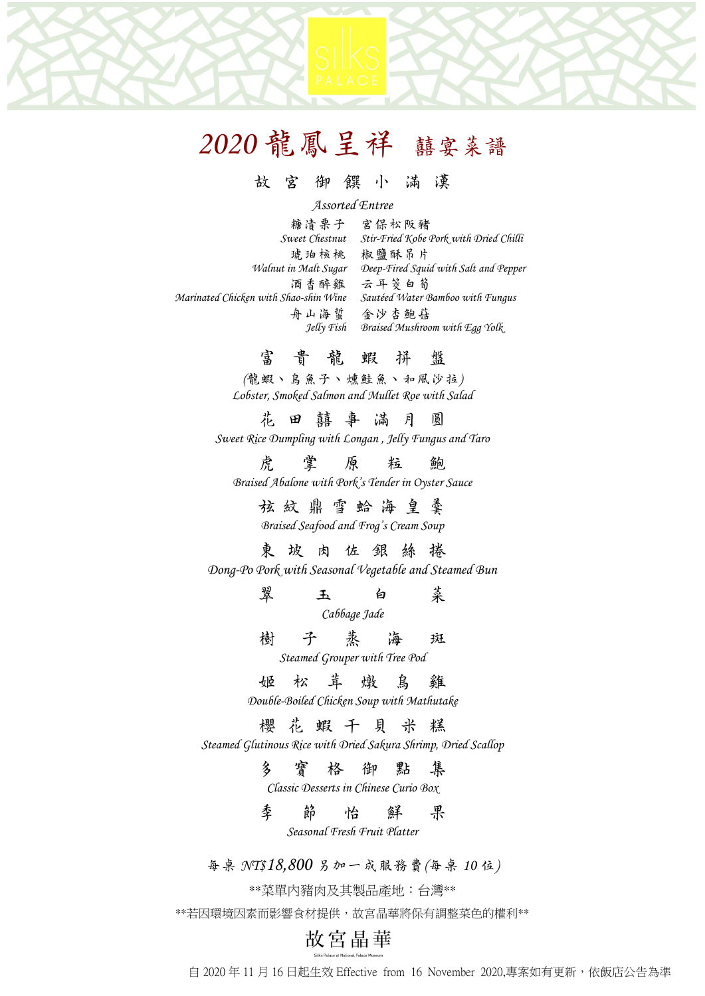## 故 宮 御 饌 小 滿 漢

#### *Assorted Entree*

糖漬栗子 宮保松阪豬 *Sweet Chestnut Stir-Fried Kobe Pork with Dried Chilli* 琥珀核桃 椒鹽酥吊片 *Walnut in Malt Sugar Deep-Fired Squid with Salt and Pepper* 酒香醉雞 云耳筊白筍 *Marinated Chicken with Shao-shin Wine Sautéed Water Bamboo with Fungus* 舟山海蜇 金沙杏鮑菇 *Jelly Fish Braised Mushroom with Egg Yolk*

## 富貴龍蝦拼 盤

*(*龍蝦、烏魚子、燻鮭魚、和風沙拉*) Lobster, Smoked Salmon and Mullet Roe with Salad* 

花田囍事滿月 圓 *Sweet Rice Dumpling with Longan , Jelly Fungus and Taro*

虎 掌 原 粒 鮑 *Braised Abalone with Pork's Tender in Oyster Sauce*

> 弦紋鼎 雪 蛤 海 皇 羹 *Braised Seafood and Frog's Cream Soup*

## 東坡肉佐銀絲 捲

*Dong-Po Pork with Seasonal Vegetable and Steamed Bun*

翠 玉 白 菜 *Cabbage Jade*

樹子蒸海 斑 *Steamed Grouper with Tree Pod*

姬松茸燉烏 雞

*Double-Boiled Chicken Soup with Mathutake*

### 櫻花蝦干貝米 糕

*Steamed Glutinous Rice with Dried Sakura Shrimp, Dried Scallop*

多寶格御點 集

*Classic Desserts in Chinese Curio Box*

季節怡鮮 果 *Seasonal Fresh Fruit Platter*

每桌 *NT\$18,800* 另加一成服務費*(*每桌 *10* 位*)*

\*\*菜單內豬肉及其製品產地:台灣\*\*

\*\*若因環境因素而影響食材提供,故宮晶華將保有調整菜色的權利\*\*

# 故宮晶華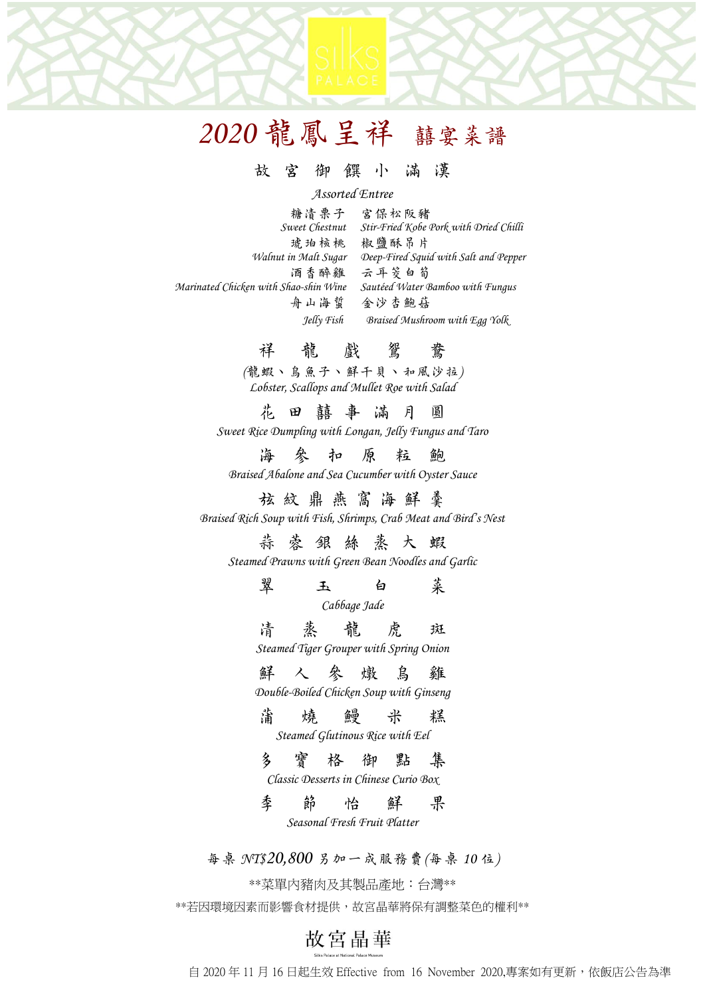### 故 宮 御 饌 小 滿 漢

#### *Assorted Entree*

| 糖请栗子                                  | 宮保松阪豬                                  |
|---------------------------------------|----------------------------------------|
| Sweet Chestnut                        | Stir-Fried Kobe Pork with Dried Chilli |
| 琥珀核桃                                  | 椒鹽酥吊片                                  |
| Walnut in Malt Sugar                  | Deep-Fired Squid with Salt and Pepper  |
| 酒香醉雞                                  | 云耳等白筍                                  |
| Marinated Chicken with Shao-shin Wine | Sautéed Water Bamboo with Fungus       |
| 舟山海蜇                                  | 金沙杏鮑菇                                  |
| Jelly Fish                            | Braised Mushroom with Egg Yolk         |
|                                       |                                        |

祥龍戲 鴛鴦 *(*龍蝦、烏魚子、鮮干貝、和風沙拉*) Lobster, Scallops and Mullet Roe with Salad* 

花田囍事滿月 圓 *Sweet Rice Dumpling with Longan, Jelly Fungus and Taro*

海參扣原粒鮑 *Braised Abalone and Sea Cucumber with Oyster Sauce*

## 弦紋鼎 燕 窩 海 鮮 羹 *Braised Rich Soup with Fish, Shrimps, Crab Meat and Bird's Nest*

## 蒜蓉銀絲蒸大 蝦

*Steamed Prawns with Green Bean Noodles and Garlic*

翠 玉 白 菜

*Cabbage Jade*

清蒸龍虎 斑 *Steamed Tiger Grouper with Spring Onion*

#### 鮮人參燉烏 雞

*Double-Boiled Chicken Soup with Ginseng*

# 蒲燒鰻米 糕

*Steamed Glutinous Rice with Eel*

### 多寶格御點 集

*Classic Desserts in Chinese Curio Box*

季 節 怡 鮮 果 *Seasonal Fresh Fruit Platter*

每桌 *NT\$20,800* 另加一成服務費*(*每桌 *10* 位*)*

\*\*菜單內豬肉及其製品產地:台灣\*\*

\*\*若因環境因素而影響食材提供,故宮晶華將保有調整菜色的權利\*\*

# 故宮晶華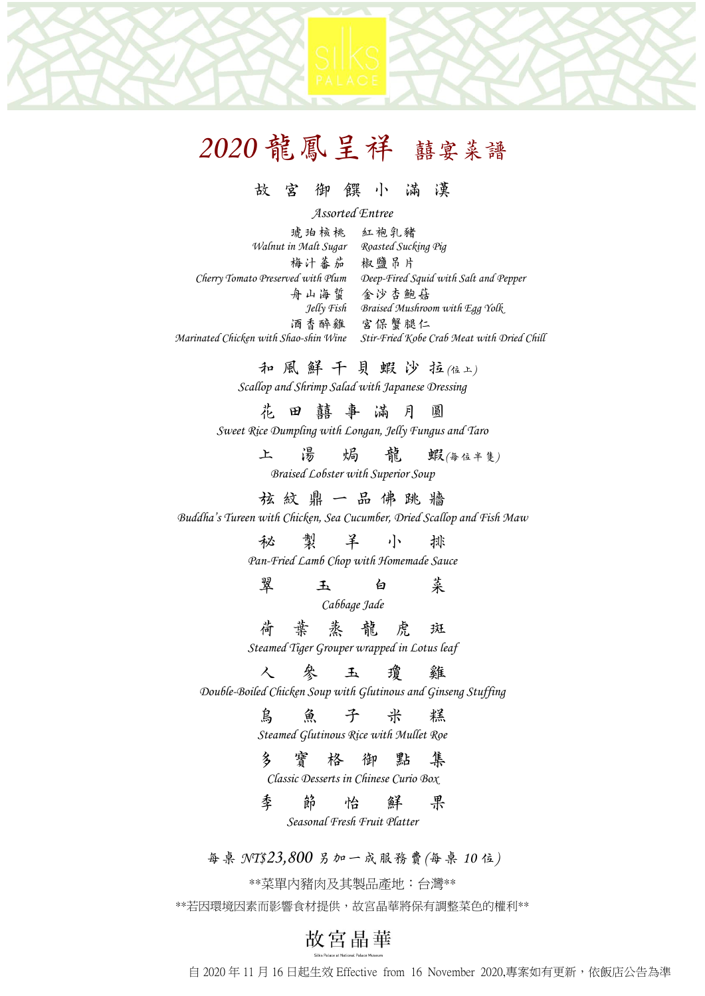### 故 宮 御 饌 小 滿 漢

*Assorted Entree*

琥珀核桃 紅袍乳豬 *Walnut in Malt Sugar Roasted Sucking Pig* 梅汁蕃茄 椒鹽吊片 *Cherry Tomato Preserved with Plum Deep-Fired Squid with Salt and Pepper* 舟山海蜇 金沙杏鮑菇 *Jelly Fish Braised Mushroom with Egg Yolk* 酒香醉雞 宮保蟹腿仁 *Marinated Chicken with Shao-shin Wine Stir-Fried Kobe Crab Meat with Dried Chill*

和風鮮 干 貝 蝦 沙 拉*(*位上*)*

*Scallop and Shrimp Salad with Japanese Dressing*

花田囍事滿月 圓

*Sweet Rice Dumpling with Longan, Jelly Fungus and Taro*

上 湯 焗 龍 蝦(每位半隻)

*Braised Lobster with Superior Soup*

弦 紋 鼎 一 品 佛 跳 牆

*Buddha's Tureen with Chicken, Sea Cucumber, Dried Scallop and Fish Maw*

秘 製 羊 小 排

*Pan-Fried Lamb Chop with Homemade Sauce*

翠 玉 白 菜

*Cabbage Jade*

荷 葉 蒸龍虎 斑

*Steamed Tiger Grouper wrapped in Lotus leaf*

人參玉瓊 雞

*Double-Boiled Chicken Soup with Glutinous and Ginseng Stuffing* 

烏魚子 米 糕

*Steamed Glutinous Rice with Mullet Roe*

#### 多寶格御點 集

*Classic Desserts in Chinese Curio Box*

季 節 怡 鮮 果 *Seasonal Fresh Fruit Platter*

每桌 *NT\$23,800* 另加一成服務費*(*每桌 *10* 位*)*

\*\*菜單內豬肉及其製品產地:台灣\*\*

\*\*若因環境因素而影響食材提供,故宮晶華將保有調整菜色的權利\*\*

# 故宮晶華